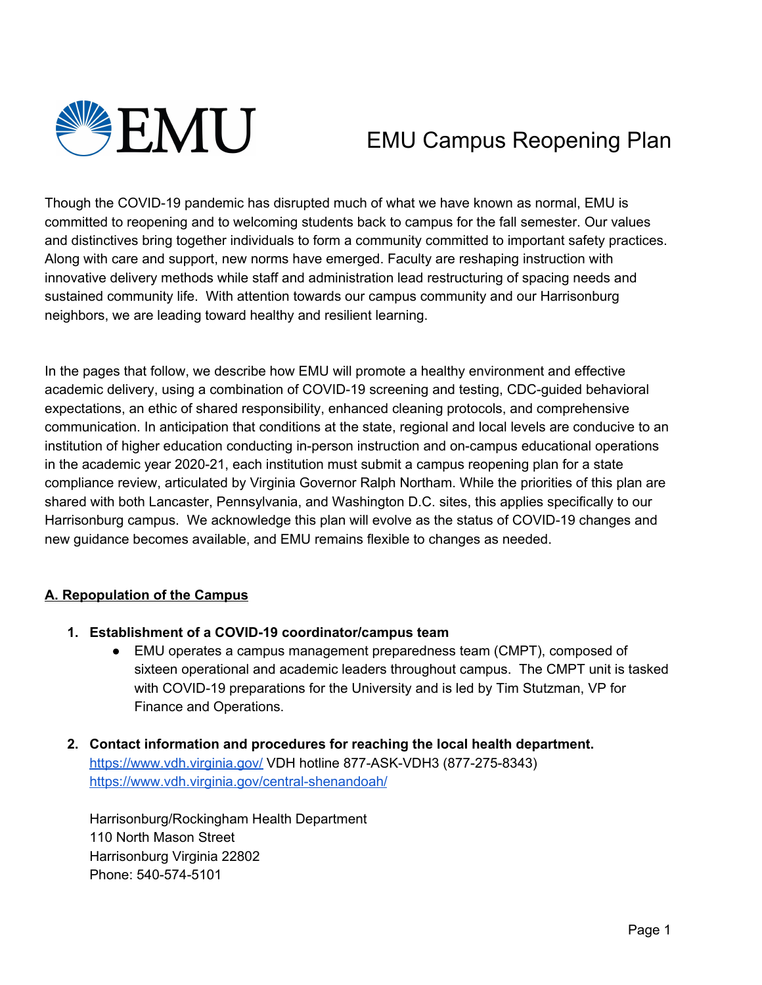

# EMU Campus Reopening Plan

Though the COVID-19 pandemic has disrupted much of what we have known as normal, EMU is committed to reopening and to welcoming students back to campus for the fall semester. Our values and distinctives bring together individuals to form a community committed to important safety practices. Along with care and support, new norms have emerged. Faculty are reshaping instruction with innovative delivery methods while staff and administration lead restructuring of spacing needs and sustained community life. With attention towards our campus community and our Harrisonburg neighbors, we are leading toward healthy and resilient learning.

In the pages that follow, we describe how EMU will promote a healthy environment and effective academic delivery, using a combination of COVID-19 screening and testing, CDC-guided behavioral expectations, an ethic of shared responsibility, enhanced cleaning protocols, and comprehensive communication. In anticipation that conditions at the state, regional and local levels are conducive to an institution of higher education conducting in-person instruction and on-campus educational operations in the academic year 2020-21, each institution must submit a campus reopening plan for a state compliance review, articulated by Virginia Governor Ralph Northam. While the priorities of this plan are shared with both Lancaster, Pennsylvania, and Washington D.C. sites, this applies specifically to our Harrisonburg campus. We acknowledge this plan will evolve as the status of COVID-19 changes and new guidance becomes available, and EMU remains flexible to changes as needed.

#### **A. Repopulation of the Campus**

- **1. Establishment of a COVID-19 coordinator/campus team**
	- EMU operates a campus management preparedness team (CMPT), composed of sixteen operational and academic leaders throughout campus. The CMPT unit is tasked with COVID-19 preparations for the University and is led by Tim Stutzman, VP for Finance and Operations.
- **2. Contact information and procedures for reaching the local health department.** <https://www.vdh.virginia.gov/> VDH hotline 877-ASK-VDH3 (877-275-8343) <https://www.vdh.virginia.gov/central-shenandoah/>

Harrisonburg/Rockingham Health Department 110 North Mason Street Harrisonburg Virginia 22802 Phone: 540-574-5101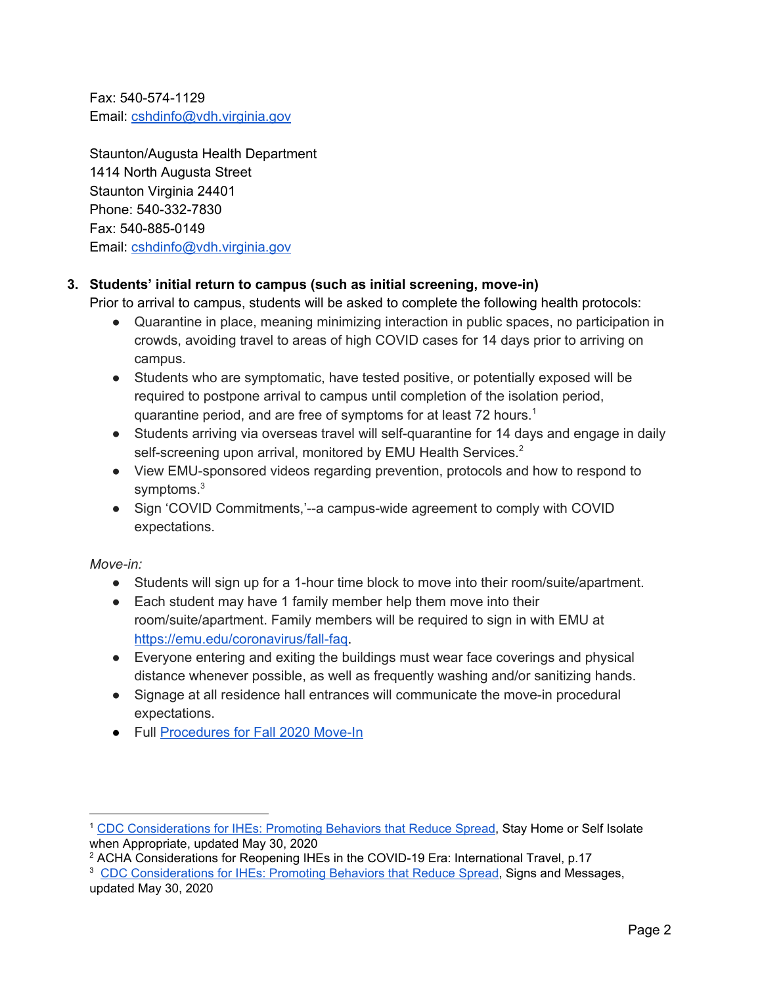Fax: 540-574-1129 Email: [cshdinfo@vdh.virginia.gov](mailto:cshdinfo@vdh.virginia.gov)

Staunton/Augusta Health Department 1414 North Augusta Street Staunton Virginia 24401 Phone: 540-332-7830 Fax: 540-885-0149 Email: [cshdinfo@vdh.virginia.gov](mailto:cshdinfo@vdh.virginia.gov)

## **3. Students' initial return to campus (such as initial screening, move-in)**

Prior to arrival to campus, students will be asked to complete the following health protocols:

- Quarantine in place, meaning minimizing interaction in public spaces, no participation in crowds, avoiding travel to areas of high COVID cases for 14 days prior to arriving on campus.
- Students who are symptomatic, have tested positive, or potentially exposed will be required to postpone arrival to campus until completion of the isolation period, quarantine period, and are free of symptoms for at least 72 hours.<sup>1</sup>
- Students arriving via overseas travel will self-quarantine for 14 days and engage in daily self-screening upon arrival, monitored by EMU Health Services.<sup>2</sup>
- View EMU-sponsored videos regarding prevention, protocols and how to respond to symptoms.<sup>3</sup>
- Sign 'COVID Commitments,'--a campus-wide agreement to comply with COVID expectations.

*Move-in:*

- Students will sign up for a 1-hour time block to move into their room/suite/apartment.
- Each student may have 1 family member help them move into their room/suite/apartment. Family members will be required to sign in with EMU at [https://emu.edu/coronavirus/fall-faq.](https://emu.edu/coronavirus/fall-faq)
- Everyone entering and exiting the buildings must wear face coverings and physical distance whenever possible, as well as frequently washing and/or sanitizing hands.
- Signage at all residence hall entrances will communicate the move-in procedural expectations.
- Full [Procedures](https://docs.google.com/document/d/1FIlkPQwt7vMstnLfs5RIF07Z7fYpiAfEi5bumMXw-U8/edit?usp=sharing) for Fall 2020 Move-In

<sup>1</sup> CDC [Considerations](https://www.cdc.gov/coronavirus/2019-ncov/community/colleges-universities/considerations.html) for IHEs: Promoting Behaviors that Reduce Spread, Stay Home or Self Isolate when Appropriate, updated May 30, 2020

<sup>2</sup> ACHA Considerations for Reopening IHEs in the COVID-19 Era: International Travel, p.17

<sup>3</sup> CDC [Considerations](https://www.cdc.gov/coronavirus/2019-ncov/community/colleges-universities/considerations.html) for IHEs: Promoting Behaviors that Reduce Spread, Signs and Messages, updated May 30, 2020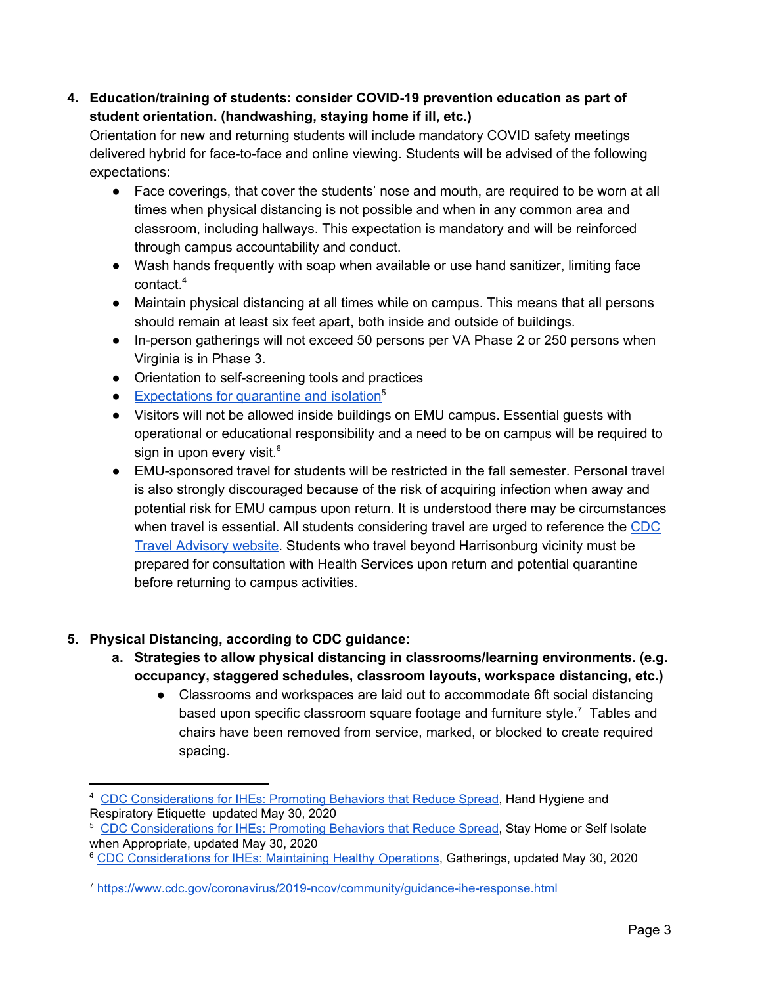**4. Education/training of students: consider COVID-19 prevention education as part of student orientation. (handwashing, staying home if ill, etc.)**

Orientation for new and returning students will include mandatory COVID safety meetings delivered hybrid for face-to-face and online viewing. Students will be advised of the following expectations:

- Face coverings, that cover the students' nose and mouth, are required to be worn at all times when physical distancing is not possible and when in any common area and classroom, including hallways. This expectation is mandatory and will be reinforced through campus accountability and conduct.
- Wash hands frequently with soap when available or use hand sanitizer, limiting face contact. 4
- Maintain physical distancing at all times while on campus. This means that all persons should remain at least six feet apart, both inside and outside of buildings.
- In-person gatherings will not exceed 50 persons per VA Phase 2 or 250 persons when Virginia is in Phase 3.
- Orientation to self-screening tools and practices
- [Expectations](https://docs.google.com/document/d/1lhAdyK5FO-wk-Ovm9VfrJaC8Q5QbTK0zpVbLLQoHORw/edit?usp=sharing) for quarantine and isolation<sup>5</sup>
- Visitors will not be allowed inside buildings on EMU campus. Essential guests with operational or educational responsibility and a need to be on campus will be required to sign in upon every visit. $^6$
- EMU-sponsored travel for students will be restricted in the fall semester. Personal travel is also strongly discouraged because of the risk of acquiring infection when away and potential risk for EMU campus upon return. It is understood there may be circumstances when travel is essential. All students considering travel are urged to reference the [CDC](https://www.cdc.gov/coronavirus/2019-ncov/travelers/index.html) Travel [Advisory](https://www.cdc.gov/coronavirus/2019-ncov/travelers/index.html) website. Students who travel beyond Harrisonburg vicinity must be prepared for consultation with Health Services upon return and potential quarantine before returning to campus activities.

## **5. Physical Distancing, according to CDC guidance:**

- **a. Strategies to allow physical distancing in classrooms/learning environments. (e.g. occupancy, staggered schedules, classroom layouts, workspace distancing, etc.)**
	- Classrooms and workspaces are laid out to accommodate 6ft social distancing based upon specific classroom square footage and furniture style. $^7$  Tables and chairs have been removed from service, marked, or blocked to create required spacing.

<sup>6</sup> CDC [Considerations](https://www.cdc.gov/coronavirus/2019-ncov/community/colleges-universities/considerations.html) for IHEs: Maintaining Healthy Operations, Gatherings, updated May 30, 2020

<sup>&</sup>lt;sup>4</sup> CDC [Considerations](https://www.cdc.gov/coronavirus/2019-ncov/community/colleges-universities/considerations.html) for IHEs: Promoting Behaviors that Reduce Spread, Hand Hygiene and Respiratory Etiquette updated May 30, 2020

<sup>5</sup> CDC [Considerations](https://www.cdc.gov/coronavirus/2019-ncov/community/colleges-universities/considerations.html) for IHEs: Promoting Behaviors that Reduce Spread, Stay Home or Self Isolate when Appropriate, updated May 30, 2020

<sup>7</sup> <https://www.cdc.gov/coronavirus/2019-ncov/community/guidance-ihe-response.html>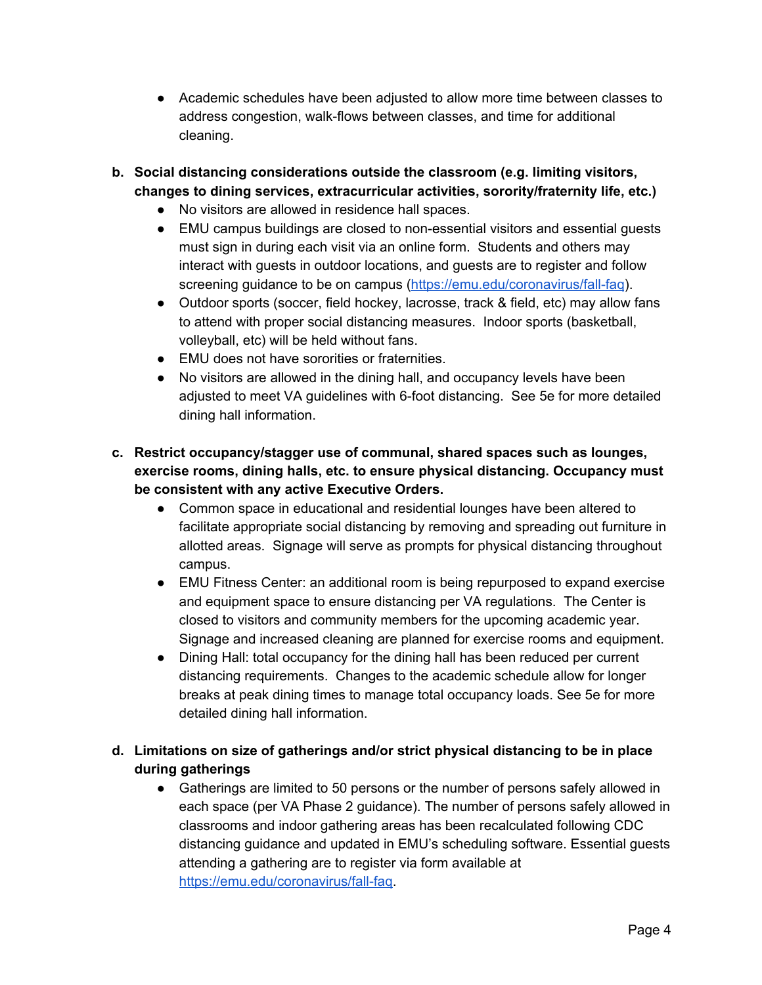- Academic schedules have been adjusted to allow more time between classes to address congestion, walk-flows between classes, and time for additional cleaning.
- **b. Social distancing considerations outside the classroom (e.g. limiting visitors, changes to dining services, extracurricular activities, sorority/fraternity life, etc.)**
	- No visitors are allowed in residence hall spaces.
	- EMU campus buildings are closed to non-essential visitors and essential guests must sign in during each visit via an online form. Students and others may interact with guests in outdoor locations, and guests are to register and follow screening guidance to be on campus [\(https://emu.edu/coronavirus/fall-faq](https://emu.edu/coronavirus/fall-faq)).
	- Outdoor sports (soccer, field hockey, lacrosse, track & field, etc) may allow fans to attend with proper social distancing measures. Indoor sports (basketball, volleyball, etc) will be held without fans.
	- EMU does not have sororities or fraternities.
	- No visitors are allowed in the dining hall, and occupancy levels have been adjusted to meet VA guidelines with 6-foot distancing. See 5e for more detailed dining hall information.
- **c. Restrict occupancy/stagger use of communal, shared spaces such as lounges, exercise rooms, dining halls, etc. to ensure physical distancing. Occupancy must be consistent with any active Executive Orders.**
	- Common space in educational and residential lounges have been altered to facilitate appropriate social distancing by removing and spreading out furniture in allotted areas. Signage will serve as prompts for physical distancing throughout campus.
	- EMU Fitness Center: an additional room is being repurposed to expand exercise and equipment space to ensure distancing per VA regulations. The Center is closed to visitors and community members for the upcoming academic year. Signage and increased cleaning are planned for exercise rooms and equipment.
	- Dining Hall: total occupancy for the dining hall has been reduced per current distancing requirements. Changes to the academic schedule allow for longer breaks at peak dining times to manage total occupancy loads. See 5e for more detailed dining hall information.
- **d. Limitations on size of gatherings and/or strict physical distancing to be in place during gatherings**
	- Gatherings are limited to 50 persons or the number of persons safely allowed in each space (per VA Phase 2 guidance). The number of persons safely allowed in classrooms and indoor gathering areas has been recalculated following CDC distancing guidance and updated in EMU's scheduling software. Essential guests attending a gathering are to register via form available at [https://emu.edu/coronavirus/fall-faq.](https://emu.edu/coronavirus/fall-faq)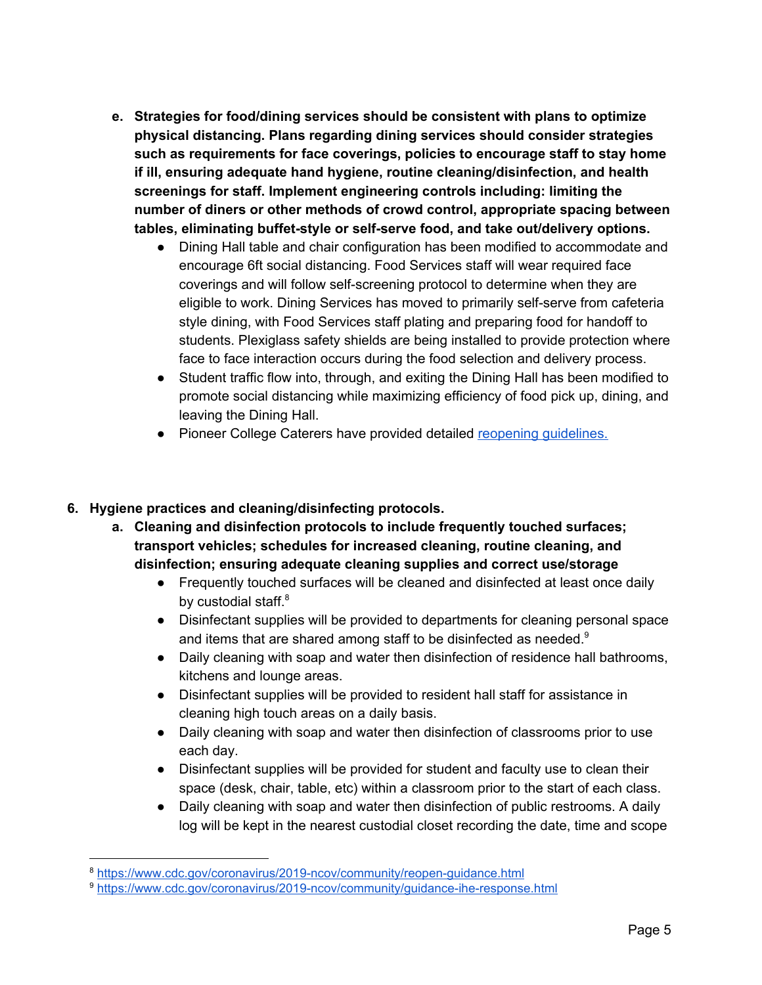- **e. Strategies for food/dining services should be consistent with plans to optimize physical distancing. Plans regarding dining services should consider strategies such as requirements for face coverings, policies to encourage staff to stay home if ill, ensuring adequate hand hygiene, routine cleaning/disinfection, and health screenings for staff. Implement engineering controls including: limiting the number of diners or other methods of crowd control, appropriate spacing between tables, eliminating buffet-style or self-serve food, and take out/delivery options.**
	- Dining Hall table and chair configuration has been modified to accommodate and encourage 6ft social distancing. Food Services staff will wear required face coverings and will follow self-screening protocol to determine when they are eligible to work. Dining Services has moved to primarily self-serve from cafeteria style dining, with Food Services staff plating and preparing food for handoff to students. Plexiglass safety shields are being installed to provide protection where face to face interaction occurs during the food selection and delivery process.
	- Student traffic flow into, through, and exiting the Dining Hall has been modified to promote social distancing while maximizing efficiency of food pick up, dining, and leaving the Dining Hall.
	- Pioneer College Caterers have provided detailed reopening [guidelines.](https://drive.google.com/file/d/1qUHacLK1gMNQp6h_Rr1Ob2xjE5ncnz7w/view)

## **6. Hygiene practices and cleaning/disinfecting protocols.**

- **a. Cleaning and disinfection protocols to include frequently touched surfaces; transport vehicles; schedules for increased cleaning, routine cleaning, and disinfection; ensuring adequate cleaning supplies and correct use/storage**
	- Frequently touched surfaces will be cleaned and disinfected at least once daily by custodial staff.<sup>8</sup>
	- Disinfectant supplies will be provided to departments for cleaning personal space and items that are shared among staff to be disinfected as needed. $9$
	- Daily cleaning with soap and water then disinfection of residence hall bathrooms, kitchens and lounge areas.
	- Disinfectant supplies will be provided to resident hall staff for assistance in cleaning high touch areas on a daily basis.
	- Daily cleaning with soap and water then disinfection of classrooms prior to use each day.
	- Disinfectant supplies will be provided for student and faculty use to clean their space (desk, chair, table, etc) within a classroom prior to the start of each class.
	- Daily cleaning with soap and water then disinfection of public restrooms. A daily log will be kept in the nearest custodial closet recording the date, time and scope

<sup>8</sup> <https://www.cdc.gov/coronavirus/2019-ncov/community/reopen-guidance.html>

<sup>9</sup> <https://www.cdc.gov/coronavirus/2019-ncov/community/guidance-ihe-response.html>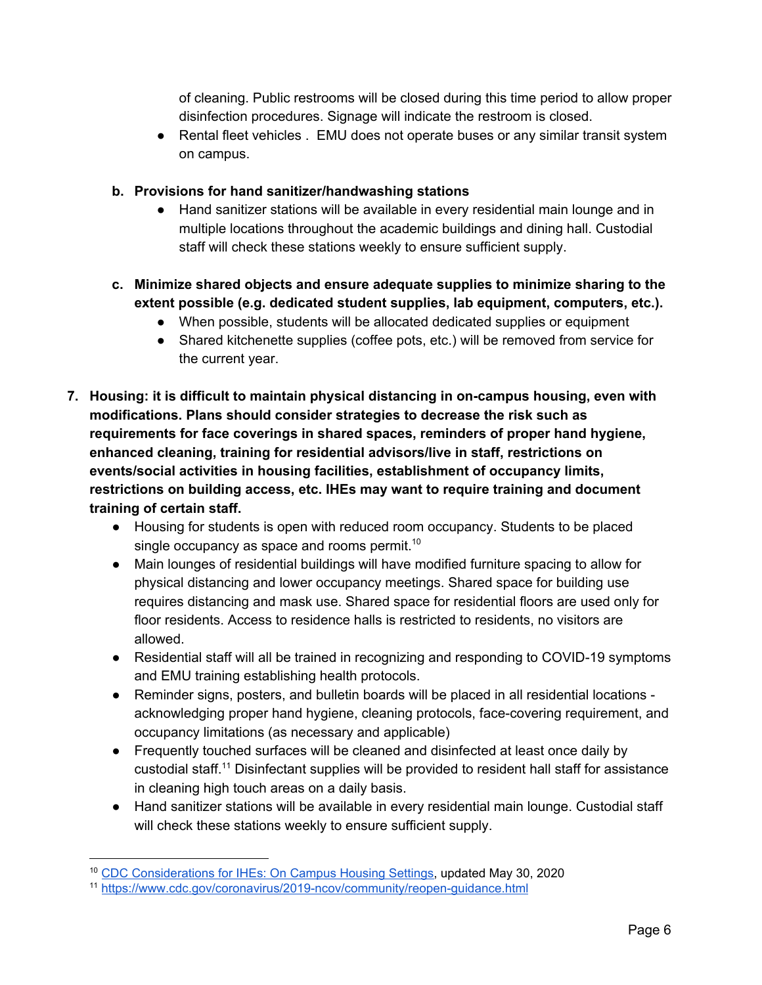of cleaning. Public restrooms will be closed during this time period to allow proper disinfection procedures. Signage will indicate the restroom is closed.

● Rental fleet vehicles . EMU does not operate buses or any similar transit system on campus.

## **b. Provisions for hand sanitizer/handwashing stations**

- Hand sanitizer stations will be available in every residential main lounge and in multiple locations throughout the academic buildings and dining hall. Custodial staff will check these stations weekly to ensure sufficient supply.
- **c. Minimize shared objects and ensure adequate supplies to minimize sharing to the extent possible (e.g. dedicated student supplies, lab equipment, computers, etc.).**
	- When possible, students will be allocated dedicated supplies or equipment
	- Shared kitchenette supplies (coffee pots, etc.) will be removed from service for the current year.
- **7. Housing: it is difficult to maintain physical distancing in on-campus housing, even with modifications. Plans should consider strategies to decrease the risk such as requirements for face coverings in shared spaces, reminders of proper hand hygiene, enhanced cleaning, training for residential advisors/live in staff, restrictions on events/social activities in housing facilities, establishment of occupancy limits, restrictions on building access, etc. IHEs may want to require training and document training of certain staff.**
	- Housing for students is open with reduced room occupancy. Students to be placed single occupancy as space and rooms permit.<sup>10</sup>
	- Main lounges of residential buildings will have modified furniture spacing to allow for physical distancing and lower occupancy meetings. Shared space for building use requires distancing and mask use. Shared space for residential floors are used only for floor residents. Access to residence halls is restricted to residents, no visitors are allowed.
	- Residential staff will all be trained in recognizing and responding to COVID-19 symptoms and EMU training establishing health protocols.
	- Reminder signs, posters, and bulletin boards will be placed in all residential locations acknowledging proper hand hygiene, cleaning protocols, face-covering requirement, and occupancy limitations (as necessary and applicable)
	- Frequently touched surfaces will be cleaned and disinfected at least once daily by custodial staff.<sup>11</sup> Disinfectant supplies will be provided to resident hall staff for assistance in cleaning high touch areas on a daily basis.
	- Hand sanitizer stations will be available in every residential main lounge. Custodial staff will check these stations weekly to ensure sufficient supply.

<sup>10</sup> CDC [Considerations](https://www.cdc.gov/coronavirus/2019-ncov/community/colleges-universities/considerations.html) for IHEs: On Campus Housing Settings, updated May 30, 2020

<sup>11</sup> <https://www.cdc.gov/coronavirus/2019-ncov/community/reopen-guidance.html>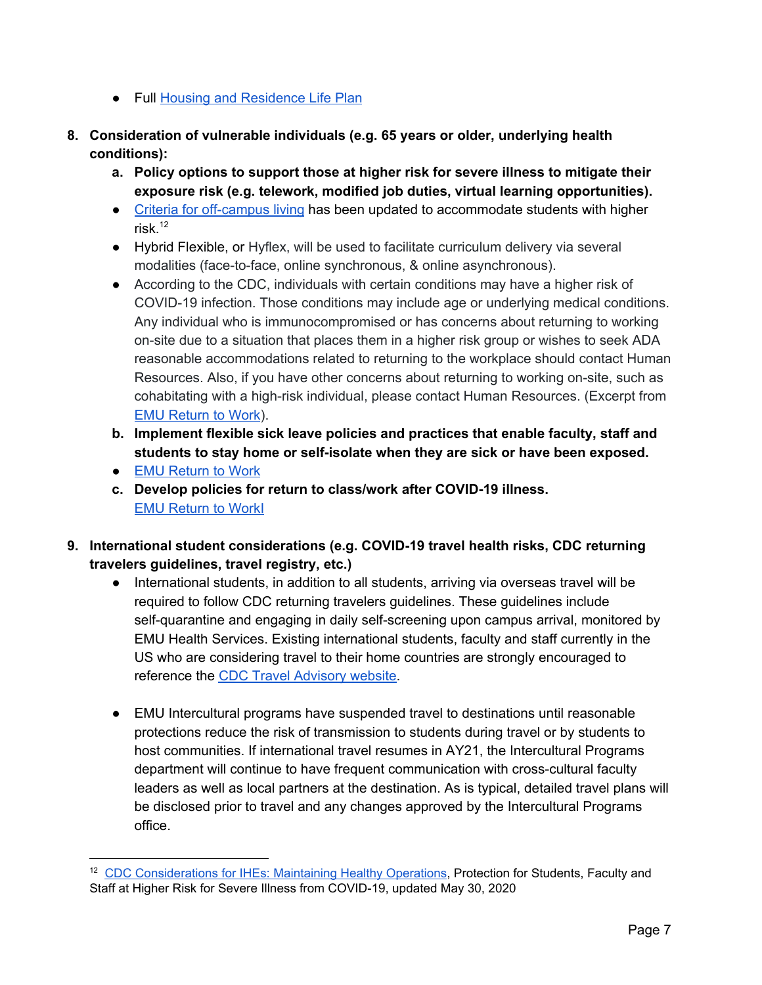- Full Housing and [Residence](https://docs.google.com/document/d/10HtVCPsczpFfc7pawUllAgx5oj91FrjXw72kjcihbkI/edit?usp=sharing) Life Plan
- **8. Consideration of vulnerable individuals (e.g. 65 years or older, underlying health conditions):**
	- **a. Policy options to support those at higher risk for severe illness to mitigate their exposure risk (e.g. telework, modified job duties, virtual learning opportunities).**
	- Criteria for [off-campus](https://emu.edu/studentlife/residence-life/forms) living has been updated to accommodate students with higher risk. 12
	- Hybrid Flexible, or Hyflex, will be used to facilitate curriculum delivery via several modalities (face-to-face, online synchronous, & online asynchronous).
	- According to the CDC, individuals with certain conditions may have a higher risk of COVID-19 infection. Those conditions may include age or underlying medical conditions. Any individual who is immunocompromised or has concerns about returning to working on-site due to a situation that places them in a higher risk group or wishes to seek ADA reasonable accommodations related to returning to the workplace should contact Human Resources. Also, if you have other concerns about returning to working on-site, such as cohabitating with a high-risk individual, please contact Human Resources. (Excerpt from EMU [Return](https://drive.google.com/file/d/15aAs67jHskuvPqhaji-eRrVfhrZaraVV/view?usp=sharing) to Work).
	- **b. Implement flexible sick leave policies and practices that enable faculty, staff and students to stay home or self-isolate when they are sick or have been exposed.**
	- EMU [Return](https://drive.google.com/file/d/15aAs67jHskuvPqhaji-eRrVfhrZaraVV/view?usp=sharing) to Work
	- **c. Develop policies for return to class/work after COVID-19 illness.** EMU [Return](https://drive.google.com/file/d/15aAs67jHskuvPqhaji-eRrVfhrZaraVV/view?usp=sharing) to Wor[kI](https://drive.google.com/file/d/1OnHM8VaxQTaNZGcygYVAi7_mX8SIsjMH/view?usp=sharing)
- **9. International student considerations (e.g. COVID-19 travel health risks, CDC returning travelers guidelines, travel registry, etc.)**
	- International students, in addition to all students, arriving via overseas travel will be required to follow CDC returning travelers guidelines. These guidelines include self-quarantine and engaging in daily self-screening upon campus arrival, monitored by EMU Health Services. Existing international students, faculty and staff currently in the US who are considering travel to their home countries are strongly encouraged to reference the CDC Travel [Advisory](https://www.cdc.gov/coronavirus/2019-ncov/travelers/index.html) website.
	- EMU Intercultural programs have suspended travel to destinations until reasonable protections reduce the risk of transmission to students during travel or by students to host communities. If international travel resumes in AY21, the Intercultural Programs department will continue to have frequent communication with cross-cultural faculty leaders as well as local partners at the destination. As is typical, detailed travel plans will be disclosed prior to travel and any changes approved by the Intercultural Programs office.

<sup>12</sup> CDC [Considerations](https://www.cdc.gov/coronavirus/2019-ncov/community/colleges-universities/considerations.html) for IHEs: Maintaining Healthy Operations, Protection for Students, Faculty and Staff at Higher Risk for Severe Illness from COVID-19, updated May 30, 2020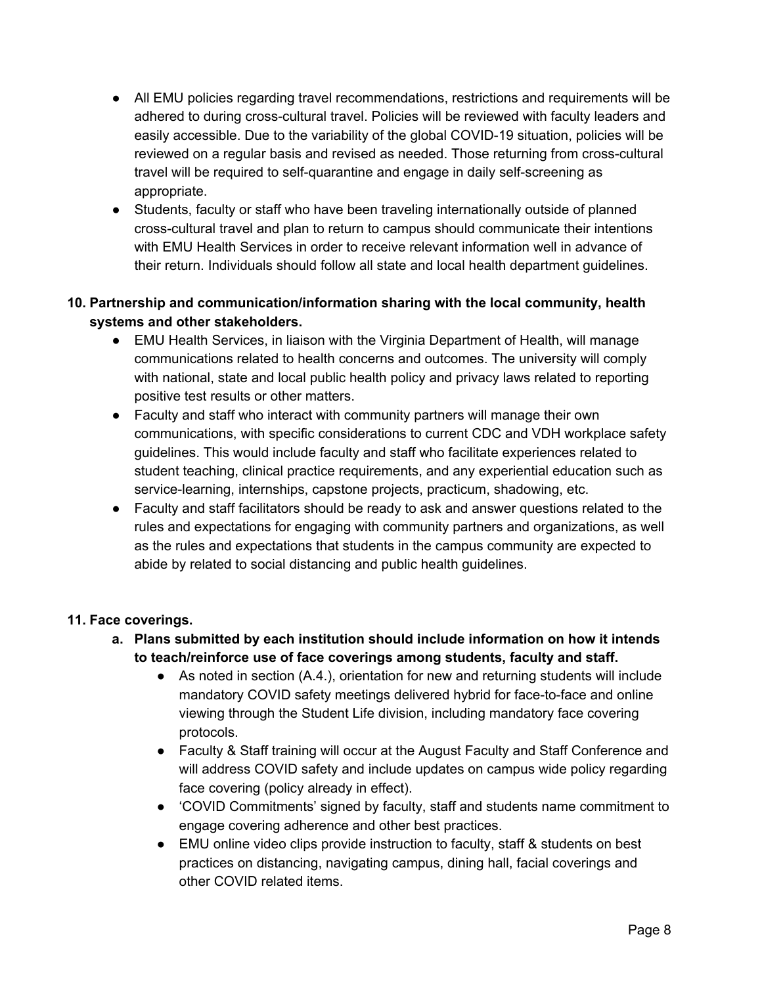- All EMU policies regarding travel recommendations, restrictions and requirements will be adhered to during cross-cultural travel. Policies will be reviewed with faculty leaders and easily accessible. Due to the variability of the global COVID-19 situation, policies will be reviewed on a regular basis and revised as needed. Those returning from cross-cultural travel will be required to self-quarantine and engage in daily self-screening as appropriate.
- Students, faculty or staff who have been traveling internationally outside of planned cross-cultural travel and plan to return to campus should communicate their intentions with EMU Health Services in order to receive relevant information well in advance of their return. Individuals should follow all state and local health department guidelines.

## **10. Partnership and communication/information sharing with the local community, health systems and other stakeholders.**

- EMU Health Services, in liaison with the Virginia Department of Health, will manage communications related to health concerns and outcomes. The university will comply with national, state and local public health policy and privacy laws related to reporting positive test results or other matters.
- Faculty and staff who interact with community partners will manage their own communications, with specific considerations to current CDC and VDH workplace safety guidelines. This would include faculty and staff who facilitate experiences related to student teaching, clinical practice requirements, and any experiential education such as service-learning, internships, capstone projects, practicum, shadowing, etc.
- Faculty and staff facilitators should be ready to ask and answer questions related to the rules and expectations for engaging with community partners and organizations, as well as the rules and expectations that students in the campus community are expected to abide by related to social distancing and public health guidelines.

## **11. Face coverings.**

- **a. Plans submitted by each institution should include information on how it intends to teach/reinforce use of face coverings among students, faculty and staff.**
	- As noted in section (A.4.), orientation for new and returning students will include mandatory COVID safety meetings delivered hybrid for face-to-face and online viewing through the Student Life division, including mandatory face covering protocols.
	- Faculty & Staff training will occur at the August Faculty and Staff Conference and will address COVID safety and include updates on campus wide policy regarding face covering (policy already in effect).
	- 'COVID Commitments' signed by faculty, staff and students name commitment to engage covering adherence and other best practices.
	- EMU online video clips provide instruction to faculty, staff & students on best practices on distancing, navigating campus, dining hall, facial coverings and other COVID related items.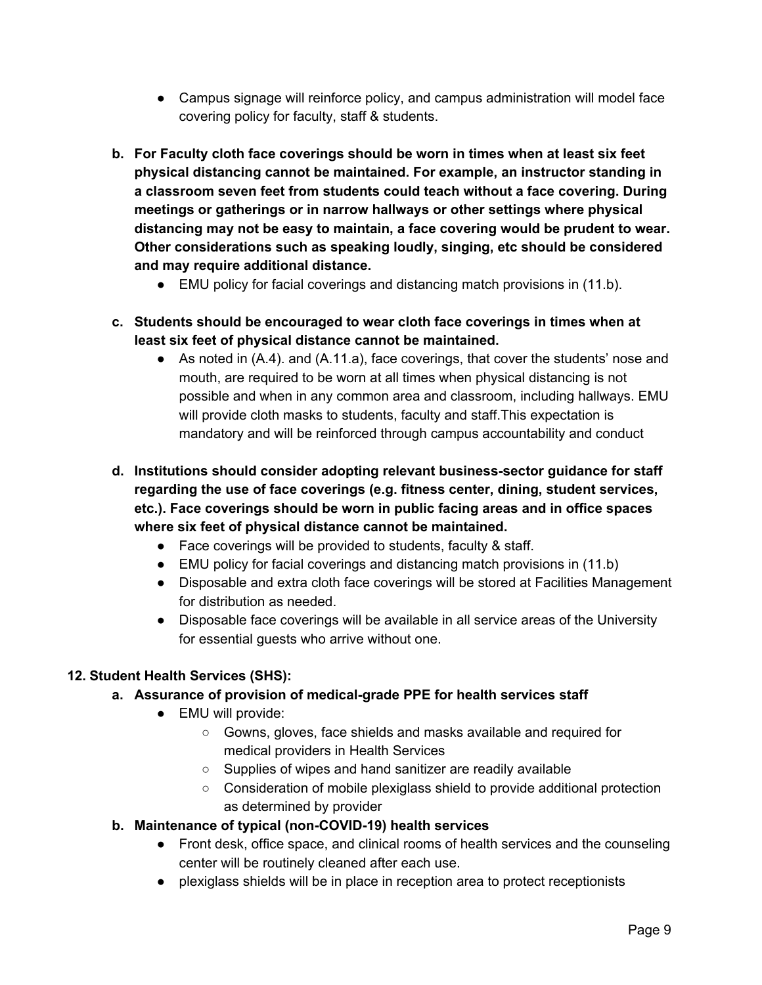- Campus signage will reinforce policy, and campus administration will model face covering policy for faculty, staff & students.
- **b. For Faculty cloth face coverings should be worn in times when at least six feet physical distancing cannot be maintained. For example, an instructor standing in a classroom seven feet from students could teach without a face covering. During meetings or gatherings or in narrow hallways or other settings where physical distancing may not be easy to maintain, a face covering would be prudent to wear. Other considerations such as speaking loudly, singing, etc should be considered and may require additional distance.**
	- EMU policy for facial coverings and distancing match provisions in (11.b).
- **c. Students should be encouraged to wear cloth face coverings in times when at least six feet of physical distance cannot be maintained.**
	- As noted in (A.4). and (A.11.a), face coverings, that cover the students' nose and mouth, are required to be worn at all times when physical distancing is not possible and when in any common area and classroom, including hallways. EMU will provide cloth masks to students, faculty and staff.This expectation is mandatory and will be reinforced through campus accountability and conduct
- **d. Institutions should consider adopting relevant business-sector guidance for staff regarding the use of face coverings (e.g. fitness center, dining, student services, etc.). Face coverings should be worn in public facing areas and in office spaces where six feet of physical distance cannot be maintained.**
	- Face coverings will be provided to students, faculty & staff.
	- EMU policy for facial coverings and distancing match provisions in (11.b)
	- Disposable and extra cloth face coverings will be stored at Facilities Management for distribution as needed.
	- Disposable face coverings will be available in all service areas of the University for essential guests who arrive without one.

## **12. Student Health Services (SHS):**

- **a. Assurance of provision of medical-grade PPE for health services staff**
	- EMU will provide:
		- Gowns, gloves, face shields and masks available and required for medical providers in Health Services
		- Supplies of wipes and hand sanitizer are readily available
		- Consideration of mobile plexiglass shield to provide additional protection as determined by provider
- **b. Maintenance of typical (non-COVID-19) health services**
	- Front desk, office space, and clinical rooms of health services and the counseling center will be routinely cleaned after each use.
	- plexiglass shields will be in place in reception area to protect receptionists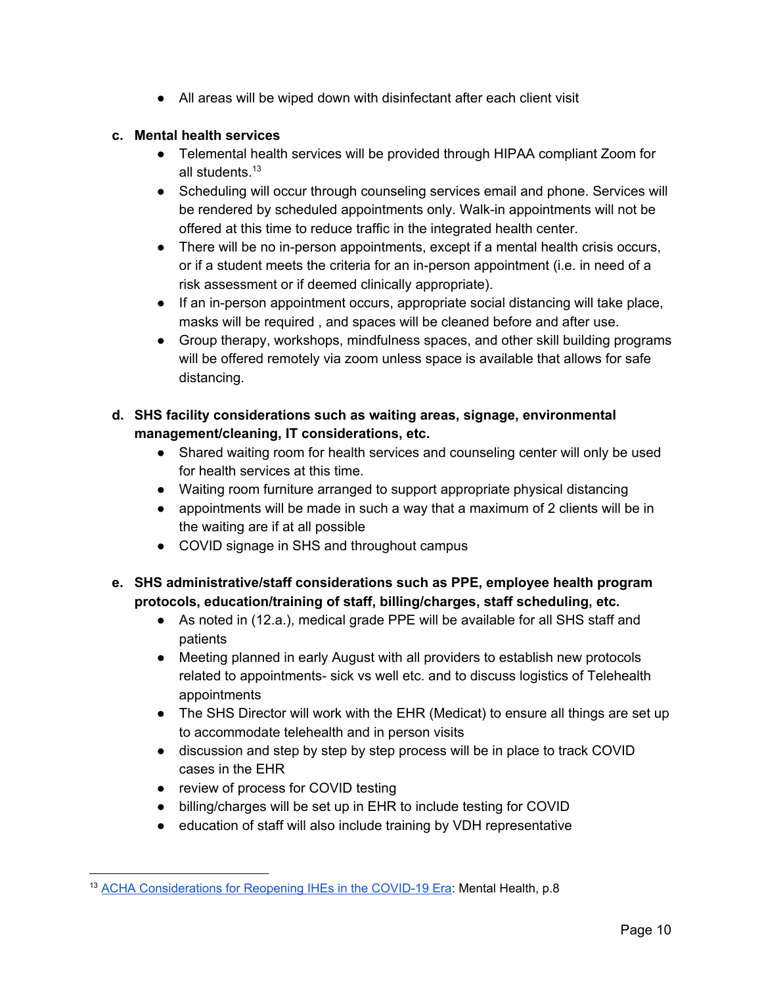● All areas will be wiped down with disinfectant after each client visit

## **c. Mental health services**

- Telemental health services will be provided through HIPAA compliant Zoom for all students.<sup>13</sup>
- Scheduling will occur through counseling services email and phone. Services will be rendered by scheduled appointments only. Walk-in appointments will not be offered at this time to reduce traffic in the integrated health center.
- There will be no in-person appointments, except if a mental health crisis occurs, or if a student meets the criteria for an in-person appointment (i.e. in need of a risk assessment or if deemed clinically appropriate).
- If an in-person appointment occurs, appropriate social distancing will take place, masks will be required , and spaces will be cleaned before and after use.
- Group therapy, workshops, mindfulness spaces, and other skill building programs will be offered remotely via zoom unless space is available that allows for safe distancing.
- **d. SHS facility considerations such as waiting areas, signage, environmental management/cleaning, IT considerations, etc.**
	- Shared waiting room for health services and counseling center will only be used for health services at this time.
	- Waiting room furniture arranged to support appropriate physical distancing
	- appointments will be made in such a way that a maximum of 2 clients will be in the waiting are if at all possible
	- COVID signage in SHS and throughout campus
- **e. SHS administrative/staff considerations such as PPE, employee health program protocols, education/training of staff, billing/charges, staff scheduling, etc.**
	- As noted in (12.a.), medical grade PPE will be available for all SHS staff and patients
	- Meeting planned in early August with all providers to establish new protocols related to appointments- sick vs well etc. and to discuss logistics of Telehealth appointments
	- The SHS Director will work with the EHR (Medicat) to ensure all things are set up to accommodate telehealth and in person visits
	- discussion and step by step by step process will be in place to track COVID cases in the EHR
	- review of process for COVID testing
	- billing/charges will be set up in EHR to include testing for COVID
	- education of staff will also include training by VDH representative

<sup>13</sup> ACHA [Considerations](https://www.acha.org/documents/resources/guidelines/ACHA_Considerations_for_Reopening_IHEs_in_the_COVID-19_Era_May2020.pdf) for Reopening IHEs in the COVID-19 Era: Mental Health, p.8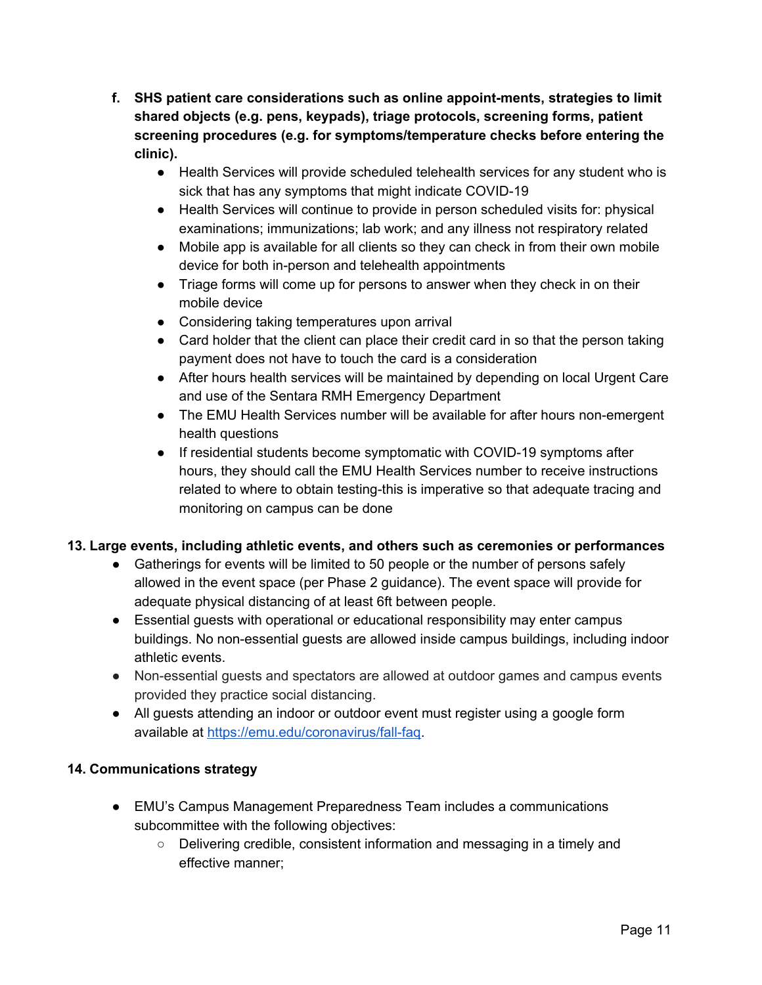- **f. SHS patient care considerations such as online appoint-ments, strategies to limit shared objects (e.g. pens, keypads), triage protocols, screening forms, patient screening procedures (e.g. for symptoms/temperature checks before entering the clinic).**
	- Health Services will provide scheduled telehealth services for any student who is sick that has any symptoms that might indicate COVID-19
	- Health Services will continue to provide in person scheduled visits for: physical examinations; immunizations; lab work; and any illness not respiratory related
	- Mobile app is available for all clients so they can check in from their own mobile device for both in-person and telehealth appointments
	- Triage forms will come up for persons to answer when they check in on their mobile device
	- Considering taking temperatures upon arrival
	- Card holder that the client can place their credit card in so that the person taking payment does not have to touch the card is a consideration
	- After hours health services will be maintained by depending on local Urgent Care and use of the Sentara RMH Emergency Department
	- The EMU Health Services number will be available for after hours non-emergent health questions
	- If residential students become symptomatic with COVID-19 symptoms after hours, they should call the EMU Health Services number to receive instructions related to where to obtain testing-this is imperative so that adequate tracing and monitoring on campus can be done

## **13. Large events, including athletic events, and others such as ceremonies or performances**

- Gatherings for events will be limited to 50 people or the number of persons safely allowed in the event space (per Phase 2 guidance). The event space will provide for adequate physical distancing of at least 6ft between people.
- Essential guests with operational or educational responsibility may enter campus buildings. No non-essential guests are allowed inside campus buildings, including indoor athletic events.
- Non-essential guests and spectators are allowed at outdoor games and campus events provided they practice social distancing.
- All guests attending an indoor or outdoor event must register using a google form available at <https://emu.edu/coronavirus/fall-faq>.

## **14. Communications strategy**

- EMU's Campus Management Preparedness Team includes a communications subcommittee with the following objectives:
	- Delivering credible, consistent information and messaging in a timely and effective manner;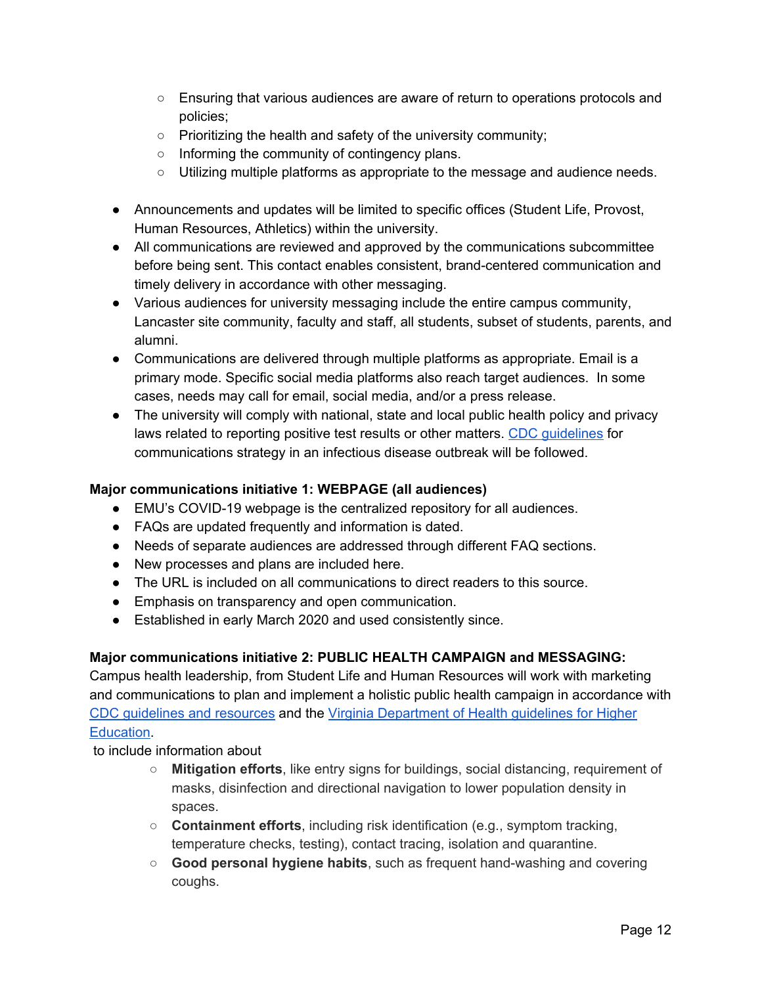- Ensuring that various audiences are aware of return to operations protocols and policies;
- Prioritizing the health and safety of the university community;
- Informing the community of contingency plans.
- Utilizing multiple platforms as appropriate to the message and audience needs.
- Announcements and updates will be limited to specific offices (Student Life, Provost, Human Resources, Athletics) within the university.
- All communications are reviewed and approved by the communications subcommittee before being sent. This contact enables consistent, brand-centered communication and timely delivery in accordance with other messaging.
- Various audiences for university messaging include the entire campus community, Lancaster site community, faculty and staff, all students, subset of students, parents, and alumni.
- Communications are delivered through multiple platforms as appropriate. Email is a primary mode. Specific social media platforms also reach target audiences. In some cases, needs may call for email, social media, and/or a press release.
- The university will comply with national, state and local public health policy and privacy laws related to reporting positive test results or other matters. CDC [guidelines](https://emergency.cdc.gov/cerc/resources/pdf/315829-A_FS_CERC_Infectious_Disease.pdf) for communications strategy in an infectious disease outbreak will be followed.

# **Major communications initiative 1: WEBPAGE (all audiences)**

- EMU's COVID-19 webpage is the centralized repository for all audiences.
- FAQs are updated frequently and information is dated.
- Needs of separate audiences are addressed through different FAQ sections.
- New processes and plans are included here.
- The URL is included on all communications to direct readers to this source.
- Emphasis on transparency and open communication.
- Established in early March 2020 and used consistently since.

## **Major communications initiative 2: PUBLIC HEALTH CAMPAIGN and MESSAGING:**

Campus health leadership, from Student Life and Human Resources will work with marketing and communications to plan and implement a holistic public health campaign in accordance with CDC [guidelines](https://www.cdc.gov/coronavirus/2019-ncov/communication/print-resources.html?Sort=Date%3A%3Adesc&Audience=Schools) and resources and the Virginia [Department](https://www.vdh.virginia.gov/coronavirus/schools-workplaces-community-locations/institutes-of-higher-education/) of Health guidelines for Higher [Education.](https://www.vdh.virginia.gov/coronavirus/schools-workplaces-community-locations/institutes-of-higher-education/)

to include information about

- **Mitigation efforts**, like entry signs for buildings, social distancing, requirement of masks, disinfection and directional navigation to lower population density in spaces.
- **Containment efforts**, including risk identification (e.g., symptom tracking, temperature checks, testing), contact tracing, isolation and quarantine.
- **Good personal hygiene habits**, such as frequent hand-washing and covering coughs.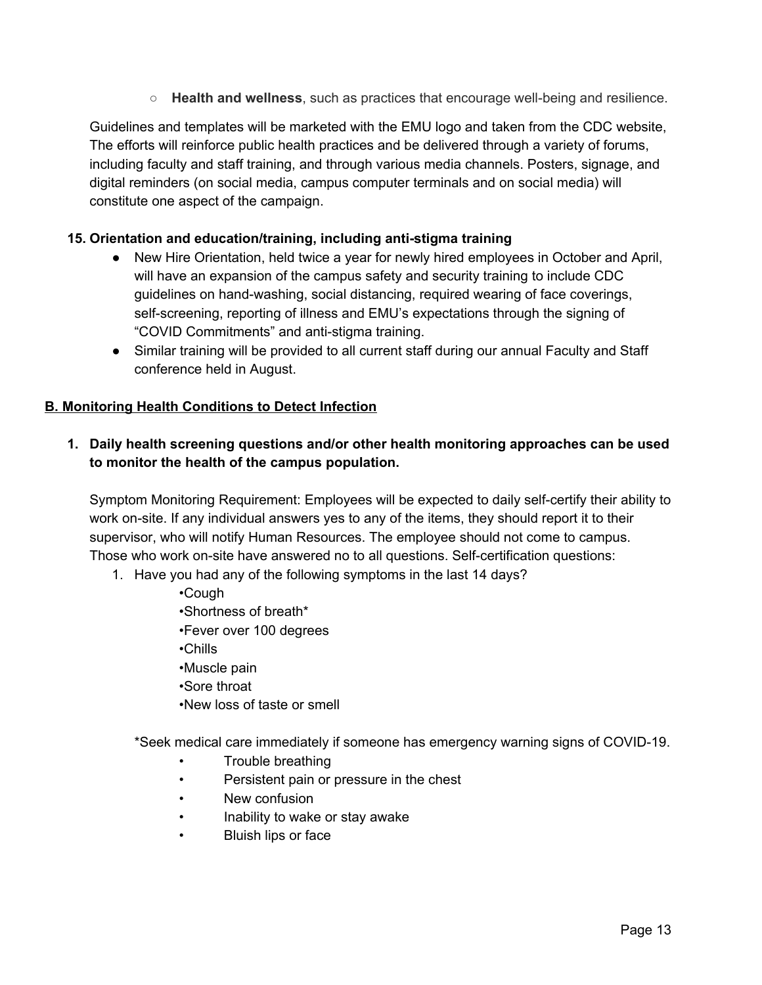○ **Health and wellness**, such as practices that encourage well-being and resilience.

Guidelines and templates will be marketed with the EMU logo and taken from the CDC website, The efforts will reinforce public health practices and be delivered through a variety of forums, including faculty and staff training, and through various media channels. Posters, signage, and digital reminders (on social media, campus computer terminals and on social media) will constitute one aspect of the campaign.

#### **15. Orientation and education/training, including anti-stigma training**

- New Hire Orientation, held twice a year for newly hired employees in October and April, will have an expansion of the campus safety and security training to include CDC guidelines on hand-washing, social distancing, required wearing of face coverings, self-screening, reporting of illness and EMU's expectations through the signing of "COVID Commitments" and anti-stigma training.
- Similar training will be provided to all current staff during our annual Faculty and Staff conference held in August.

#### **B. Monitoring Health Conditions to Detect Infection**

## **1. Daily health screening questions and/or other health monitoring approaches can be used to monitor the health of the campus population.**

Symptom Monitoring Requirement: Employees will be expected to daily self-certify their ability to work on-site. If any individual answers yes to any of the items, they should report it to their supervisor, who will notify Human Resources. The employee should not come to campus. Those who work on-site have answered no to all questions. Self-certification questions:

1. Have you had any of the following symptoms in the last 14 days?

•Cough

- •Shortness of breath\*
- •Fever over 100 degrees
- •Chills
- •Muscle pain
- •Sore throat
- •New loss of taste or smell

\*Seek medical care immediately if someone has emergency warning signs of COVID-19.

- Trouble breathing
- Persistent pain or pressure in the chest
- New confusion
- Inability to wake or stay awake
- Bluish lips or face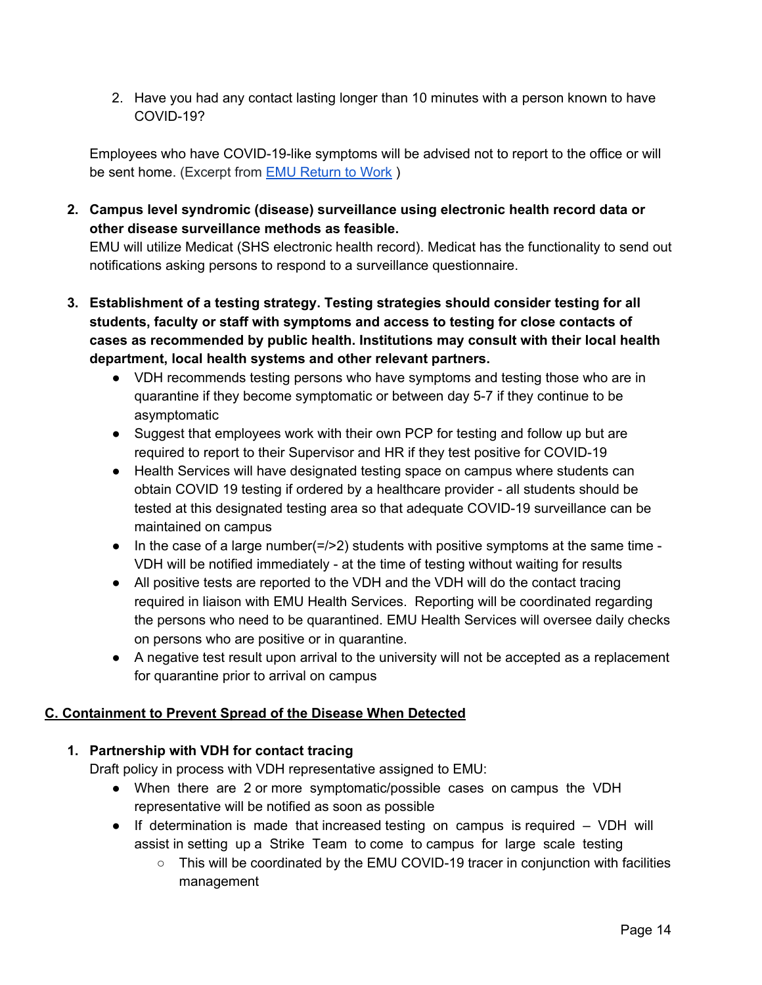2. Have you had any contact lasting longer than 10 minutes with a person known to have COVID-19?

Employees who have COVID-19-like symptoms will be advised not to report to the office or will be sent home. (Excerpt from EMU [Return](https://drive.google.com/file/d/15aAs67jHskuvPqhaji-eRrVfhrZaraVV/view?usp=sharing) to Work )

**2. Campus level syndromic (disease) surveillance using electronic health record data or other disease surveillance methods as feasible.**

EMU will utilize Medicat (SHS electronic health record). Medicat has the functionality to send out notifications asking persons to respond to a surveillance questionnaire.

- **3. Establishment of a testing strategy. Testing strategies should consider testing for all students, faculty or staff with symptoms and access to testing for close contacts of cases as recommended by public health. Institutions may consult with their local health department, local health systems and other relevant partners.**
	- VDH recommends testing persons who have symptoms and testing those who are in quarantine if they become symptomatic or between day 5-7 if they continue to be asymptomatic
	- Suggest that employees work with their own PCP for testing and follow up but are required to report to their Supervisor and HR if they test positive for COVID-19
	- Health Services will have designated testing space on campus where students can obtain COVID 19 testing if ordered by a healthcare provider - all students should be tested at this designated testing area so that adequate COVID-19 surveillance can be maintained on campus
	- $\bullet$  In the case of a large number( $\epsilon$ />2) students with positive symptoms at the same time -VDH will be notified immediately - at the time of testing without waiting for results
	- All positive tests are reported to the VDH and the VDH will do the contact tracing required in liaison with EMU Health Services. Reporting will be coordinated regarding the persons who need to be quarantined. EMU Health Services will oversee daily checks on persons who are positive or in quarantine.
	- A negative test result upon arrival to the university will not be accepted as a replacement for quarantine prior to arrival on campus

## **C. Containment to Prevent Spread of the Disease When Detected**

## **1. Partnership with VDH for contact tracing**

Draft policy in process with VDH representative assigned to EMU:

- When there are 2 or more symptomatic/possible cases on campus the VDH representative will be notified as soon as possible
- If determination is made that increased testing on campus is required VDH will assist in setting up a Strike Team to come to campus for large scale testing
	- $\circ$  This will be coordinated by the EMU COVID-19 tracer in conjunction with facilities management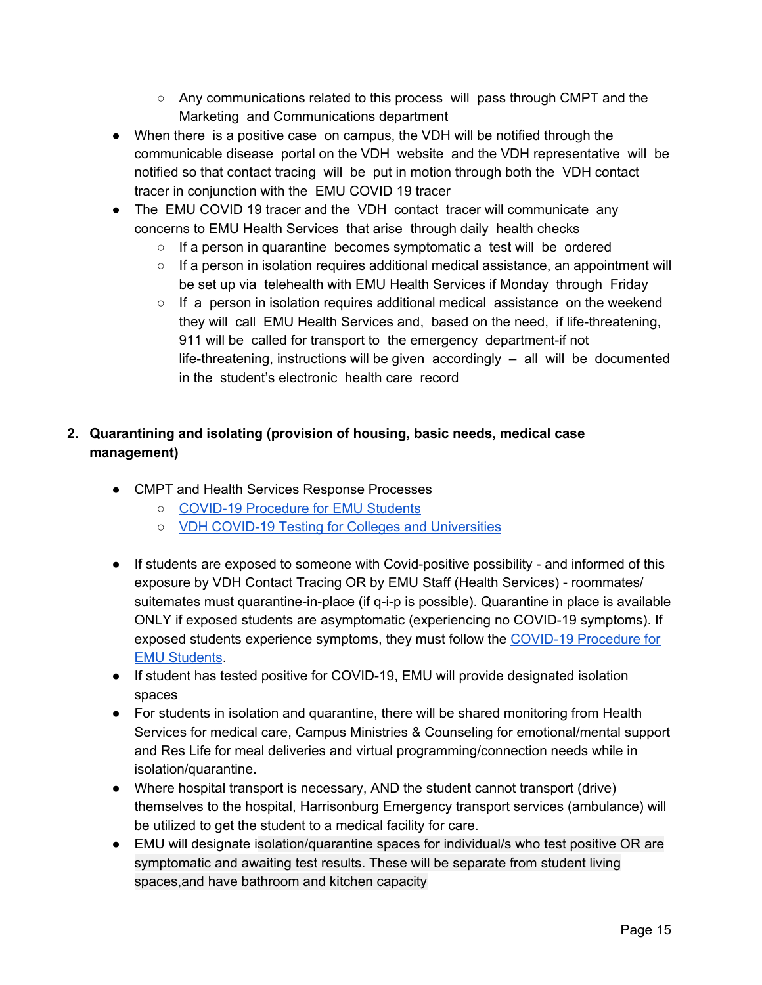- $\circ$  Any communications related to this process will pass through CMPT and the Marketing and Communications department
- When there is a positive case on campus, the VDH will be notified through the communicable disease portal on the VDH website and the VDH representative will be notified so that contact tracing will be put in motion through both the VDH contact tracer in conjunction with the EMU COVID 19 tracer
- The EMU COVID 19 tracer and the VDH contact tracer will communicate any concerns to EMU Health Services that arise through daily health checks
	- If a person in quarantine becomes symptomatic a test will be ordered
	- $\circ$  If a person in isolation requires additional medical assistance, an appointment will be set up via telehealth with EMU Health Services if Monday through Friday
	- $\circ$  If a person in isolation requires additional medical assistance on the weekend they will call EMU Health Services and, based on the need, if life-threatening, 911 will be called for transport to the emergency department-if not life-threatening, instructions will be given accordingly – all will be documented in the student's electronic health care record

# **2. Quarantining and isolating (provision of housing, basic needs, medical case management)**

- CMPT and Health Services Response Processes
	- COVID-19 [Procedure](https://docs.google.com/document/d/1lhAdyK5FO-wk-Ovm9VfrJaC8Q5QbTK0zpVbLLQoHORw/edit?usp=sharing) for EMU Students
	- VDH COVID-19 Testing for Colleges and [Universities](https://drive.google.com/file/d/1VrYYes076H8_h0MLB5JsvoMiSVtPGES5/view?usp=sharing)
- If students are exposed to someone with Covid-positive possibility and informed of this exposure by VDH Contact Tracing OR by EMU Staff (Health Services) - roommates/ suitemates must quarantine-in-place (if q-i-p is possible). Quarantine in place is available ONLY if exposed students are asymptomatic (experiencing no COVID-19 symptoms). If exposed students experience symptoms, they must follow the COVID-19 [Procedure](https://docs.google.com/document/d/1lhAdyK5FO-wk-Ovm9VfrJaC8Q5QbTK0zpVbLLQoHORw/edit?usp=sharing) for EMU [Students](https://docs.google.com/document/d/1lhAdyK5FO-wk-Ovm9VfrJaC8Q5QbTK0zpVbLLQoHORw/edit?usp=sharing).
- If student has tested positive for COVID-19, EMU will provide designated isolation spaces
- For students in isolation and quarantine, there will be shared monitoring from Health Services for medical care, Campus Ministries & Counseling for emotional/mental support and Res Life for meal deliveries and virtual programming/connection needs while in isolation/quarantine.
- Where hospital transport is necessary, AND the student cannot transport (drive) themselves to the hospital, Harrisonburg Emergency transport services (ambulance) will be utilized to get the student to a medical facility for care.
- EMU will designate isolation/quarantine spaces for individual/s who test positive OR are symptomatic and awaiting test results. These will be separate from student living spaces,and have bathroom and kitchen capacity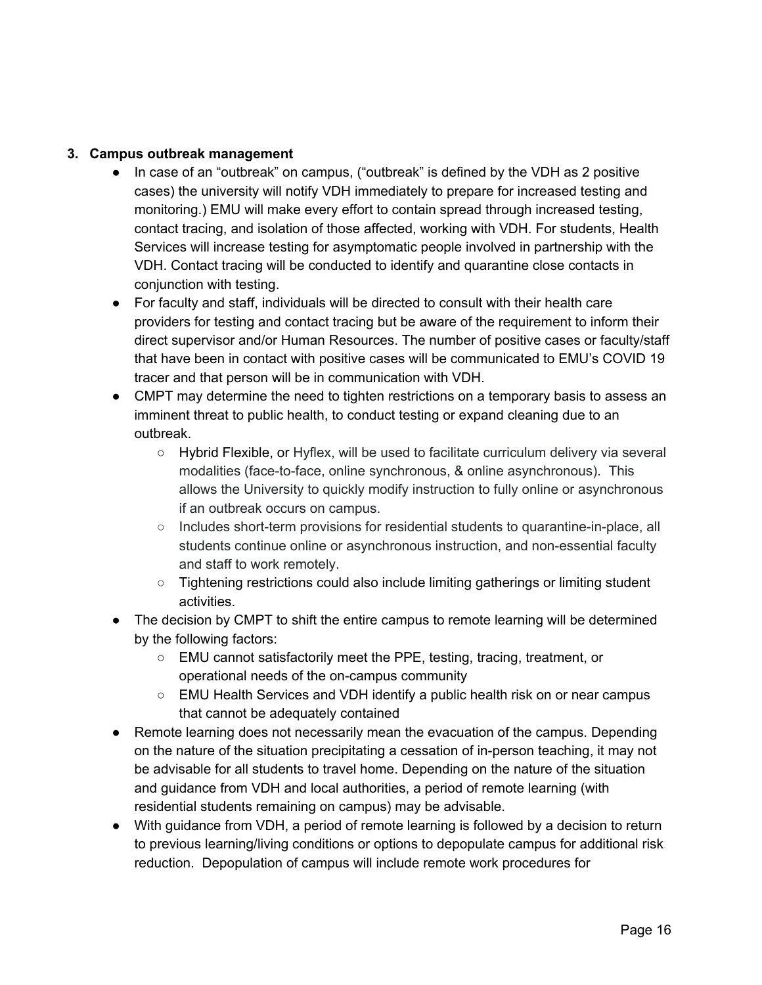#### **3. Campus outbreak management**

- In case of an "outbreak" on campus, ("outbreak" is defined by the VDH as 2 positive cases) the university will notify VDH immediately to prepare for increased testing and monitoring.) EMU will make every effort to contain spread through increased testing, contact tracing, and isolation of those affected, working with VDH. For students, Health Services will increase testing for asymptomatic people involved in partnership with the VDH. Contact tracing will be conducted to identify and quarantine close contacts in conjunction with testing.
- For faculty and staff, individuals will be directed to consult with their health care providers for testing and contact tracing but be aware of the requirement to inform their direct supervisor and/or Human Resources. The number of positive cases or faculty/staff that have been in contact with positive cases will be communicated to EMU's COVID 19 tracer and that person will be in communication with VDH.
- CMPT may determine the need to tighten restrictions on a temporary basis to assess an imminent threat to public health, to conduct testing or expand cleaning due to an outbreak.
	- Hybrid Flexible, or Hyflex, will be used to facilitate curriculum delivery via several modalities (face-to-face, online synchronous, & online asynchronous). This allows the University to quickly modify instruction to fully online or asynchronous if an outbreak occurs on campus.
	- Includes short-term provisions for residential students to quarantine-in-place, all students continue online or asynchronous instruction, and non-essential faculty and staff to work remotely.
	- Tightening restrictions could also include limiting gatherings or limiting student activities.
- The decision by CMPT to shift the entire campus to remote learning will be determined by the following factors:
	- EMU cannot satisfactorily meet the PPE, testing, tracing, treatment, or operational needs of the on-campus community
	- $\circ$  EMU Health Services and VDH identify a public health risk on or near campus that cannot be adequately contained
- Remote learning does not necessarily mean the evacuation of the campus. Depending on the nature of the situation precipitating a cessation of in-person teaching, it may not be advisable for all students to travel home. Depending on the nature of the situation and guidance from VDH and local authorities, a period of remote learning (with residential students remaining on campus) may be advisable.
- With guidance from VDH, a period of remote learning is followed by a decision to return to previous learning/living conditions or options to depopulate campus for additional risk reduction. Depopulation of campus will include remote work procedures for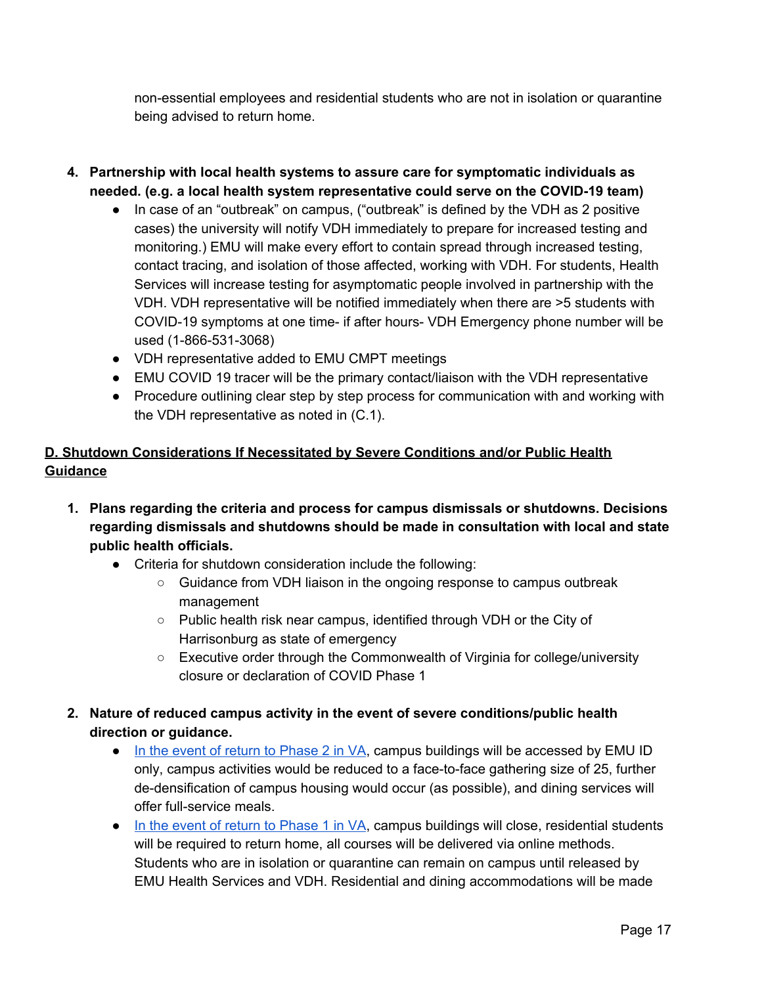non-essential employees and residential students who are not in isolation or quarantine being advised to return home.

- **4. Partnership with local health systems to assure care for symptomatic individuals as needed. (e.g. a local health system representative could serve on the COVID-19 team)**
	- In case of an "outbreak" on campus, ("outbreak" is defined by the VDH as 2 positive cases) the university will notify VDH immediately to prepare for increased testing and monitoring.) EMU will make every effort to contain spread through increased testing, contact tracing, and isolation of those affected, working with VDH. For students, Health Services will increase testing for asymptomatic people involved in partnership with the VDH. VDH representative will be notified immediately when there are >5 students with COVID-19 symptoms at one time- if after hours- VDH Emergency phone number will be used (1-866-531-3068)
	- VDH representative added to EMU CMPT meetings
	- EMU COVID 19 tracer will be the primary contact/liaison with the VDH representative
	- Procedure outlining clear step by step process for communication with and working with the VDH representative as noted in (C.1).

## **D. Shutdown Considerations If Necessitated by Severe Conditions and/or Public Health Guidance**

- **1. Plans regarding the criteria and process for campus dismissals or shutdowns. Decisions regarding dismissals and shutdowns should be made in consultation with local and state public health officials.**
	- Criteria for shutdown consideration include the following:
		- Guidance from VDH liaison in the ongoing response to campus outbreak management
		- Public health risk near campus, identified through VDH or the City of Harrisonburg as state of emergency
		- Executive order through the Commonwealth of Virginia for college/university closure or declaration of COVID Phase 1
- **2. Nature of reduced campus activity in the event of severe conditions/public health direction or guidance.**
	- In the event of return to [Phase](https://www.virginia.gov/coronavirus/) 2 in VA, campus buildings will be accessed by EMU ID only, campus activities would be reduced to a face-to-face gathering size of 25, further de-densification of campus housing would occur (as possible), and dining services will offer full-service meals.
	- In the event of return to [Phase](https://www.virginia.gov/coronavirus/forwardvirginia/) 1 in VA, campus buildings will close, residential students will be required to return home, all courses will be delivered via online methods. Students who are in isolation or quarantine can remain on campus until released by EMU Health Services and VDH. Residential and dining accommodations will be made